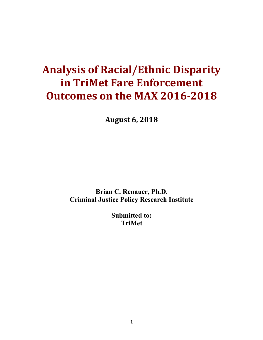# **Analysis of Racial/Ethnic Disparity in TriMet Fare Enforcement Outcomes on the MAX 2016-2018**

**August 6, 2018**

**Brian C. Renauer, Ph.D. Criminal Justice Policy Research Institute**

> **Submitted to: TriMet**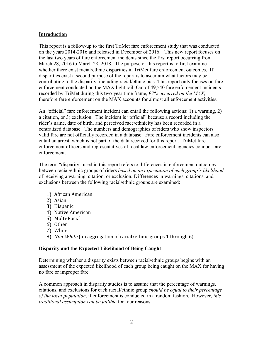# **Introduction**

This report is a follow-up to the first TriMet fare enforcement study that was conducted on the years 2014-2016 and released in December of 2016. This new report focuses on the last two years of fare enforcement incidents since the first report occurring from March 28, 2016 to March 28, 2018. The purpose of this report is to first examine whether there exist racial/ethnic disparities in TriMet fare enforcement outcomes. If disparities exist a second purpose of the report is to ascertain what factors may be contributing to the disparity, including racial/ethnic bias. This report only focuses on fare enforcement conducted on the MAX light rail. Out of 49,540 fare enforcement incidents recorded by TriMet during this two-year time frame, *97% occurred on the MAX*, therefore fare enforcement on the MAX accounts for almost all enforcement activities.

An "official" fare enforcement incident can entail the following actions: 1) a warning, 2) a citation, or 3) exclusion. The incident is "official" because a record including the rider's name, date of birth, and perceived race/ethnicity has been recorded in a centralized database. The numbers and demographics of riders who show inspectors valid fare are not officially recorded in a database. Fare enforcement incidents can also entail an arrest, which is not part of the data received for this report. TriMet fare enforcement officers and representatives of local law enforcement agencies conduct fare enforcement.

The term "disparity" used in this report refers to differences in enforcement outcomes between racial/ethnic groups of riders *based on an expectation of each group's likelihood* of receiving a warning, citation, or exclusion. Differences in warnings, citations, and exclusions between the following racial/ethnic groups are examined:

- 1) African American
- 2) Asian
- 3) Hispanic
- 4) Native American
- 5) Multi-Racial
- 6) Other
- 7) White
- 8) *Non-White* (an aggregation of racial/ethnic groups 1 through 6)

## **Disparity and the Expected Likelihood of Being Caught**

Determining whether a disparity exists between racial/ethnic groups begins with an assessment of the expected likelihood of each group being caught on the MAX for having no fare or improper fare.

A common approach in disparity studies is to assume that the percentage of warnings, citations, and exclusions for each racial/ethnic group *should be equal to their percentage of the local population*, if enforcement is conducted in a random fashion. However, *this traditional assumption can be fallible* for four reasons: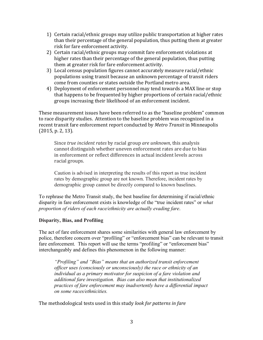- 1) Certain racial/ethnic groups may utilize public transportation at higher rates than their percentage of the general population, thus putting them at greater risk for fare enforcement activity.
- 2) Certain racial/ethnic groups may commit fare enforcement violations at higher rates than their percentage of the general population, thus putting them at greater risk for fare enforcement activity.
- 3) Local census population figures cannot accurately measure racial/ethnic populations using transit because an unknown percentage of transit riders come from counties or states outside the Portland metro area.
- 4) Deployment of enforcement personnel may tend towards a MAX line or stop that happens to be frequented by higher proportions of certain racial/ethnic groups increasing their likelihood of an enforcement incident.

These measurement issues have been referred to as the "baseline problem" common to race disparity studies. Attention to the baseline problem was recognized in a recent transit fare enforcement report conducted by *Metro Transit* in Minneapolis  $(2015, p. 2, 13)$ .

Since *true incident rates* by racial group *are unknown*, this analysis cannot distinguish whether uneven enforcement rates are due to bias in enforcement or reflect differences in actual incident levels across racial groups.

Caution is advised in interpreting the results of this report as true incident rates by demographic group are not known. Therefore, incident rates by demographic group cannot be directly compared to known baselines.

To rephrase the Metro Transit study, the best baseline for determining if racial/ethnic disparity in fare enforcement exists is knowledge of the "true incident rates" or *what proportion of riders of each race/ethnicity are actually evading fare*.

# **Disparity, Bias, and Profiling**

The act of fare enforcement shares some similarities with general law enforcement by police, therefore concern over "profiling" or "enforcement bias" can be relevant to transit fare enforcement. This report will use the terms "profiling" or "enforcement bias" interchangeably and defines this phenomenon in the following manner:

*"Profiling" and "Bias" means that an authorized transit enforcement officer uses (consciously or unconsciously) the race or ethnicity of an individual as a primary motivator for suspicion of a fare violation and additional fare investigation. Bias can also mean that institutionalized practices of fare enforcement may inadvertently have a differential impact on some races/ethnicities.* 

The methodological tests used in this study *look for patterns in fare*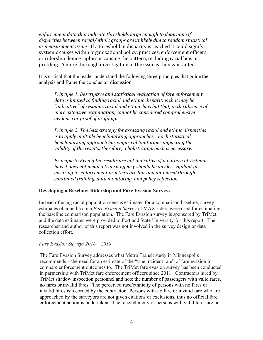*enforcement data that indicate thresholds large enough to determine if* disparities between racial/ethnic groups are unlikely due to random statistical *or measurement issues.* If a threshold in disparity is reached it could signify systemic causes within organizational policy, practices, enforcement officers, or ridership demographics is causing the pattern, including racial bias or profiling. A more thorough investigation of the issue is then warranted.

It is critical that the reader understand the following three principles that guide the analysis and frame the conclusion discussion:

*Principle 1: Descriptive and statistical evaluation of fare enforcement* data is limited to finding racial and ethnic disparities that may be "indicative" of systemic racial and ethnic bias but that, in the absence of *more extensive examination, cannot be considered comprehensive evidence or proof of profiling.*

*Principle 2: The best strategy for assessing racial and ethnic disparities is* to apply multiple benchmarking approaches. Each statistical *benchmarking approach has empirical limitations impacting the* validity of the results; therefore, a holistic approach is necessary.

*Principle 3: Even if the results are not indicative of a pattern of systemic* bias it does not mean a transit agency should be any less vigilant in *ensuring its enforcement practices are fair and un-biased through continued training, data monitoring, and policy reflection.* 

## **Developing a Baseline: Ridership and Fare Evasion Surveys**

Instead of using racial population census estimates for a comparison baseline, survey estimates obtained from a *Fare Evasion Survey* of MAX riders were used for estimating the baseline comparison population. The Fare Evasion survey is sponsored by TriMet and the data estimates were provided to Portland State University for this report. The researcher and author of this report was not involved in the survey design or data collection effort.

#### *Fare Evasion Surveys 2016 – 2018*

The Fare Evasion Survey addresses what Metro Transit study in Minneapolis recommends – the need for an estimate of the "true incident rate" of fare evasion to compare enforcement outcomes to. The TriMet fare evasion survey has been conducted in partnership with TriMet fare enforcement officers since 2011. Contractors hired by TriMet shadow inspection personnel and note the number of passengers with valid fares, no fares or invalid fares. The perceived race/ethnicity of persons with no fares or invalid fares is recorded by the contractor. Persons with no fare or invalid fare who are approached by the surveyors are not given citations or exclusions, thus no official fare enforcement action is undertaken. The race/ethnicity of persons with valid fares are not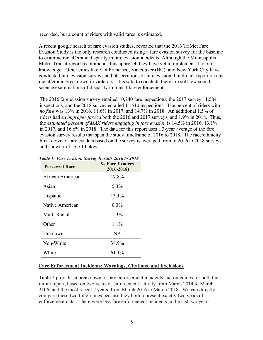recorded, but a count of riders with valid fares is estimated.

A recent google search of fare evasion studies, revealed that the 2016 TriMet Fare Evasion Study is the only research conducted using a fare evasion survey for the baseline to examine racial/ethnic disparity in fare evasion incidents. Although the Minneapolis Metro Transit report recommends this approach they have yet to implement it to our knowledge. Other cities like San Francisco, Vancouver (BC), and New York City have conducted fare evasion surveys and observations of fare evasion, but do not report on any racial/ethnic breakdown in violators. It is safe to conclude there are still few social science examinations of disparity in transit fare enforcement.

The 2016 fare evasion survey entailed 10,740 fare inspections, the 2017 survey 11,584 inspections, and the 2018 survey entailed 11,510 inspections. The percent of riders with *no fare* was 13% in 2016, 11.6% in 2017, and 14.7% in 2018. An additional 1.5% of riders had an *improper fare* in both the 2016 and 2017 surveys, and 1.9% in 2018. Thus, the *estimated percent of MAX riders engaging in fare evasion* is 14.5% in 2016, 13.1% in 2017, and 16.6% in 2018. The data for this report uses a 3-year average of the fare evasion survey results that span the study timeframe of 2016 to 2018. The race/ethnicity breakdown of fare evaders based on the survey is averaged from to 2016 to 2018 surveys and shown in Table 1 below.

| <b>Perceived Race</b> | % Fare Evaders<br>$(2016 - 2018)$ |
|-----------------------|-----------------------------------|
| African American      | 17.8%                             |
| Asian                 | 5.3%                              |
| Hispanic              | 13.1%                             |
| Native American       | $0.3\%$                           |
| Multi-Racial          | 1.3%                              |
| Other                 | $1.1\%$                           |
| Unknown               | NA.                               |
| Non-White             | 38.9%                             |
| White                 | 61.1%                             |

## *Table 1: Fare Evasion Survey Results 2016 to 2018*

## **Fare Enforcement Incidents: Warnings, Citations, and Exclusions**

Table 2 provides a breakdown of fare enforcement incidents and outcomes for both the initial report, based on two years of enforcement activity from March 2014 to March 2106, and the most recent 2 years, from March 2016 to March 2018. We can directly compare these two timeframes because they both represent exactly two years of enforcement data. There were less fare enforcement incidents in the last two years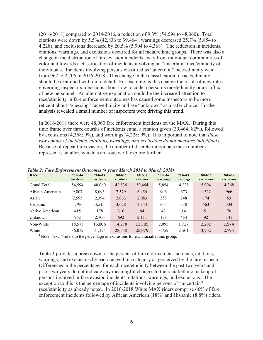(2016-2018) compared to 2014-2016, a reduction of 9.3% (54,594 to 48,060). Total citations were down by 5.5% (42,836 to 39,464), warnings decreased 25.7% (5,854 to 4,228), and exclusions decreased by 20.5% (5,904 to 4,368). The reduction in incidents, citations, warnings, and exclusions occurred for all racial/ethnic groups. There was also a change in the distribution of fare evasion incidents away from individual communities of color and towards a classification of incidents involving an "uncertain" race/ethnicity of individuals. Incidents involving persons classified as "uncertain" race/ethnicity went from 962 to 2,706 in 2016-2018. This change in the classification of race/ethnicity should be examined with more detail. For example, is this change the result of new rules governing inspectors' decisions about how to code a person's race/ethnicity or an influx of new personnel. An alternative explanation could be the increased attention to race/ethnicity in fare enforcement outcomes has caused some inspectors to be more reticent about "guessing" race/ethnicity and see "unknown" as a safer choice. Further analysis revealed a small number of inspectors were driving this trend.

In 2016-2018 there were 48,060 fare enforcement incidents on the MAX. During this time frame over three-fourths of incidents entail a citation given (39,464; 82%), followed by exclusions (4,368; 9%), and warnings (4,228; 9%). It is important to note that *these raw counts of incidents, citations, warnings, and exclusions do not measure individuals.*  Because of repeat fare evasion, the number of discrete individuals these numbers represent is smaller, which is an issue we'll explore further.

| Race             | 2014-16<br>incidents | 2016-18<br>incidents | 2014-16<br>citations | 2016-18<br>citations | 2014-16<br>warnings | 2016-18<br>warnings | 2014-16<br>exclusions | 2016-18<br>exclusions |
|------------------|----------------------|----------------------|----------------------|----------------------|---------------------|---------------------|-----------------------|-----------------------|
| Grand Total      | 54,594               | 48,060               | 42,836               | 39,464               | 5,854               | 4,228               | 5,904                 | 4,368                 |
| African American | 9,807                | 8,093                | 7,579                | 6,454                | 906                 | 673                 | 1,322                 | 966                   |
| Asian            | 2,595                | 2,394                | 2,063                | 2,083                | 358                 | 248                 | 174                   | 63                    |
| Hispanic         | 4,796                | 3.515                | 3,628                | 2,843                | 605                 | 338                 | 563                   | 334                   |
| Native American  | 415                  | 178                  | 316                  | 94                   | 48                  | 14                  | 51                    | 70                    |
| Unknown          | 962                  | 2,706                | 692                  | 2,111                | 178                 | 454                 | 92                    | 141                   |
| Non-White        | 18,575               | 16,886               | 14,278               | 13,585               | 2,095               | 1,727               | 2,202                 | 1,574                 |
| White            | 36,019               | 31,174               | 28,558               | 25,879               | 3,759               | 2,501               | 3,702                 | 2,794                 |

#### *Table 2: Fare Enforcement Outcomes (4 years March 2014 to March 2018)*

<sup>1</sup> Note: "excl" refers to the percentage of exclusions for each racial/ethnic group.

Table 3 provides a breakdown of the percent of fare enforcement incidents, citations, warnings, and exclusions by each race/ethnic category as perceived by the fare inspector. Differences in the percentages for each race/ethnicity between the past two years and prior two years do not indicate any meaningful changes to the racial/ethnic makeup of persons involved in fare evasion incidents, citations, warnings, and exclusions. The exception to this is the percentage of incidents involving persons of "uncertain" race/ethnicity as already noted. In 2016-2018 White MAX riders comprise 66% of fare enforcement incidents followed by African American (18%) and Hispanic (8.8%) riders.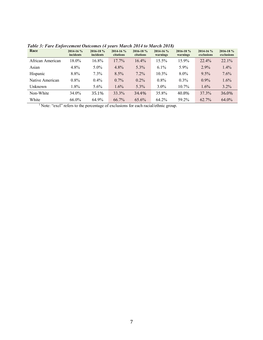| Race             | $2014 - 16%$<br>incidents | 2016-18 %<br>incidents | $2014 - 16%$<br>citations | $2016 - 18%$<br>citations | $2014 - 16%$<br>warnings | $2016 - 18%$<br>warnings | $2014 - 16%$<br>exclusions | 2016-18 %<br>exclusions |
|------------------|---------------------------|------------------------|---------------------------|---------------------------|--------------------------|--------------------------|----------------------------|-------------------------|
| African American | 18.0%                     | $16.8\%$               | $17.7\%$                  | $16.4\%$                  | $15.5\%$                 | $15.9\%$                 | $22.4\%$                   | $22.1\%$                |
| Asian            | 4.8%                      | $5.0\%$                | $4.8\%$                   | 5.3%                      | $6.1\%$                  | $5.9\%$                  | $2.9\%$                    | $1.4\%$                 |
| Hispanic         | 8.8%                      | 7.3%                   | $8.5\%$                   | 7.2%                      | 10.3%                    | $8.0\%$                  | $9.5\%$                    | 7.6%                    |
| Native American  | $0.8\%$                   | $0.4\%$                | $0.7\%$                   | $0.2\%$                   | $0.8\%$                  | $0.3\%$                  | $0.9\%$                    | $1.6\%$                 |
| Unknown          | $1.8\%$                   | $5.6\%$                | $1.6\%$                   | 5.3%                      | $3.0\%$                  | $10.7\%$                 | $1.6\%$                    | 3.2%                    |
| Non-White        | 34.0%                     | 35.1%                  | 33.3%                     | 34.4%                     | 35.8%                    | 40.8%                    | 37.3%                      | 36.0%                   |
| White            | $66.0\%$                  | 64.9%                  | $66.7\%$                  | $65.6\%$                  | 64.2%                    | 59.2%                    | $62.7\%$                   | $64.0\%$                |

*Table 3: Fare Enforcement Outcomes (4 years March 2014 to March 2018)*

<sup>1</sup> Note: "excl" refers to the percentage of exclusions for each racial/ethnic group.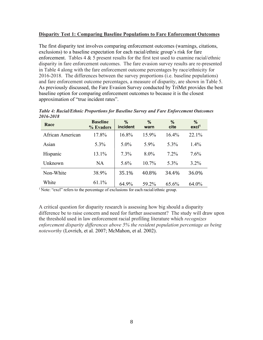# **Disparity Test 1: Comparing Baseline Populations to Fare Enforcement Outcomes**

The first disparity test involves comparing enforcement outcomes (warnings, citations, exclusions) to a baseline expectation for each racial/ethnic group's risk for fare enforcement. Tables  $4 \& 5$  present results for the first test used to examine racial/ethnic disparity in fare enforcement outcomes. The fare evasion survey results are re-presented in Table 4 along with the fare enforcement outcome percentages by race/ethnicity for 2016-2018. The differences between the survey proportions (i.e. baseline populations) and fare enforcement outcome percentages, a measure of disparity, are shown in Table 5. As previously discussed, the Fare Evasion Survey conducted by TriMet provides the best baseline option for comparing enforcement outcomes to because it is the closest approximation of "true incident rates".

| Race             | <b>Baseline</b><br>% Evaders | $\%$<br>incident | $\%$<br>warn | $\%$<br>cite | %<br>excl <sup>1</sup> |
|------------------|------------------------------|------------------|--------------|--------------|------------------------|
| African American | 17.8%                        | 16.8%            | 15.9%        | 16.4%        | 22.1%                  |
| Asian            | 5.3%                         | $5.0\%$          | $5.9\%$      | 5.3%         | $1.4\%$                |
| Hispanic         | 13.1%                        | $7.3\%$          | $8.0\%$      | $7.2\%$      | 7.6%                   |
| Unknown          | <b>NA</b>                    | $5.6\%$          | $10.7\%$     | 5.3%         | $3.2\%$                |
| Non-White        | 38.9%                        | 35.1%            | 40.8%        | 34.4%        | 36.0%                  |
| White            | 61.1%                        | 64.9%            | 59.2%        | 65.6%        | 64.0%                  |

*Table 4: Racial/Ethnic Proportions for Baseline Survey and Fare Enforcement Outcomes 2016-2018*

<sup>1</sup> Note: "excl" refers to the percentage of exclusions for each racial/ethnic group.

A critical question for disparity research is assessing how big should a disparity difference be to raise concern and need for further assessment? The study will draw upon the threshold used in law enforcement racial profiling literature which *recognizes enforcement disparity differences above 5% the resident population percentage as being noteworthy* (Lovrich, et al. 2007; McMahon, et al. 2002).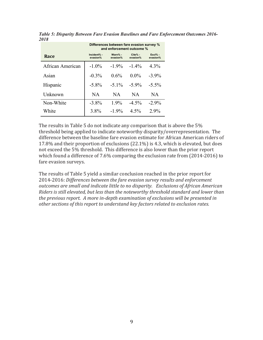|                  | Differences between fare evasion survey %<br>and enforcement outcome % |                     |                       |                       |  |  |  |  |
|------------------|------------------------------------------------------------------------|---------------------|-----------------------|-----------------------|--|--|--|--|
| Race             | Incident% -<br>evasion%                                                | Warn% -<br>evasion% | $Cite% -$<br>evasion% | $Excl% -$<br>evasion% |  |  |  |  |
| African American | $-1.0\%$                                                               | $-1.9\%$            | $-1.4\%$              | $4.3\%$               |  |  |  |  |
| Asian            | $-0.3\%$                                                               | $0.6\%$             | $0.0\%$               | $-3.9\%$              |  |  |  |  |
| Hispanic         | $-5.8\%$                                                               | $-5.1\%$            | $-5.9\%$              | $-5.5\%$              |  |  |  |  |
| Unknown          | NA.                                                                    | <b>NA</b>           | NA.                   | <b>NA</b>             |  |  |  |  |
| Non-White        | $-3.8\%$                                                               | $1.9\%$             | $-4.5\%$              | $-2.9\%$              |  |  |  |  |
| White            | 3.8%                                                                   | $-1.9\%$            | $4.5\%$               | $2.9\%$               |  |  |  |  |

*Table 5: Disparity Between Fare Evasion Baselines and Fare Enforcement Outcomes 2016- 2018*

The results in Table 5 do not indicate any comparison that is above the  $5\%$ threshold being applied to indicate noteworthy disparity/overrepresentation. The difference between the baseline fare evasion estimate for African American riders of 17.8% and their proportion of exclusions  $(22.1\%)$  is 4.3, which is elevated, but does not exceed the 5% threshold. This difference is also lower than the prior report which found a difference of  $7.6\%$  comparing the exclusion rate from  $(2014-2016)$  to fare evasion surveys.

The results of Table 5 yield a similar conclusion reached in the prior report for 2014-2016: Differences between the fare evasion survey results and enforcement *outcomes are small and indicate little to no disparity. Exclusions of African American Riders is still elevated, but less than the noteworthy threshold standard and lower than the previous report. A more in-depth examination of exclusions will be presented in* other sections of this report to understand key factors related to exclusion rates.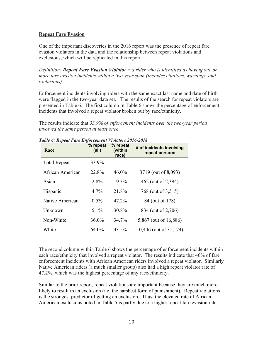# **Repeat Fare Evasion**

One of the important discoveries in the 2016 report was the presence of repeat fare evasion violators in the data and the relationship between repeat violations and exclusions, which will be replicated in this report.

*Definition: Repeat Fare Evasion Violator = a rider who is identified as having one or more fare evasion incidents within a two-year span (includes citations, warnings, and exclusions)*

Enforcement incidents involving riders with the same exact last name and date of birth were flagged in the two-year data set. The results of the search for repeat violators are presented in Table 6. The first column in Table 6 shows the percentage of enforcement incidents that involved a repeat violator broken out by race/ethnicity.

The results indicate that *33.9% of enforcement incidents over the two-year period involved the same person at least once*.

| Race                | % repeat<br>(all) | % repeat<br>(within<br>race) | # of incidents involving<br>repeat persons |
|---------------------|-------------------|------------------------------|--------------------------------------------|
| <b>Total Repeat</b> | 33.9%             |                              |                                            |
| African American    | 22.8%             | $46.0\%$                     | 3719 (out of 8,093)                        |
| Asian               | 2.8%              | 19.3%                        | 462 (out of 2,394)                         |
| Hispanic            | $4.7\%$           | 21.8%                        | 768 (out of 3,515)                         |
| Native American     | $0.5\%$           | 47.2%                        | 84 (out of 178)                            |
| Unknown             | $5.1\%$           | 30.8%                        | 834 (out of 2,706)                         |
| Non-White           | $36.0\%$          | 34.7%                        | 5,867 (out of 16,886)                      |
| White               | 64.0%             | 33.5%                        | 10,446 (out of 31,174)                     |

*Table 6: Repeat Fare Enforcement Violators 2016-2018*

The second column within Table 6 shows the percentage of enforcement incidents within each race/ethnicity that involved a repeat violator. The results indicate that 46% of fare enforcement incidents with African American riders involved a repeat violator. Similarly Native American riders (a much smaller group) also had a high repeat violator rate of 47.2%, which was the highest percentage of any race/ethnicity.

Similar to the prior report, repeat violations are important because they are much more likely to result in an exclusion (i.e. the harshest form of punishment). Repeat violations is the strongest predictor of getting an exclusion. Thus, the elevated rate of African American exclusions noted in Table 5 is partly due to a higher repeat fare evasion rate.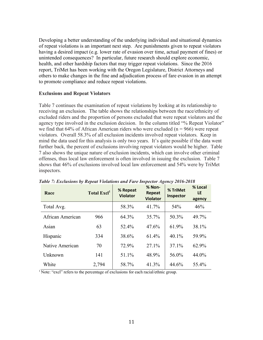Developing a better understanding of the underlying individual and situational dynamics of repeat violations is an important next step. Are punishments given to repeat violators having a desired impact (e.g. lower rate of evasion over time, actual payment of fines) or unintended consequences? In particular, future research should explore economic, health, and other hardship factors that may trigger repeat violations. Since the 2016 report, TriMet has been working with the Oregon Legislature, District Attorneys and others to make changes in the fine and adjudication process of fare evasion in an attempt to promote compliance and reduce repeat violations.

#### **Exclusions and Repeat Violators**

Table 7 continues the examination of repeat violations by looking at its relationship to receiving an exclusion. The table shows the relationships between the race/ethnicity of excluded riders and the proportion of persons excluded that were repeat violators and the agency type involved in the exclusion decision. In the column titled "% Repeat Violator" we find that  $64\%$  of African American riders who were excluded ( $n = 966$ ) were repeat violators. Overall 58.3% of all exclusion incidents involved repeat violators. Keep in mind the data used for this analysis is only two years. It's quite possible if the data went further back, the percent of exclusions involving repeat violators would be higher. Table 7 also shows the unique nature of exclusion incidents, which can involve other criminal offenses, thus local law enforcement is often involved in issuing the exclusion. Table 7 shows that 46% of exclusions involved local law enforcement and 54% were by TriMet inspectors.

| Race             | Total Excl <sup>1</sup> | % Repeat<br><b>Violator</b> | % Non-<br><b>Repeat</b><br><b>Violator</b> | % TriMet<br>Inspector | % Local<br>LE<br>agency |
|------------------|-------------------------|-----------------------------|--------------------------------------------|-----------------------|-------------------------|
| Total Avg.       |                         | 58.3%                       | 41.7%                                      | 54%                   | 46%                     |
| African American | 966                     | 64.3%                       | 35.7%                                      | 50.3%                 | 49.7%                   |
| Asian            | 63                      | 52.4%                       | 47.6%                                      | 61.9%                 | 38.1%                   |
| Hispanic         | 334                     | 38.6%                       | 61.4%                                      | 40.1%                 | 59.9%                   |
| Native American  | 70                      | 72.9%                       | 27.1%                                      | 37.1%                 | 62.9%                   |
| Unknown          | 141                     | 51.1%                       | 48.9%                                      | 56.0%                 | 44.0%                   |
| White            | 2,794                   | 58.7%                       | 41.3%                                      | 44.6%                 | 55.4%                   |

*Table 7: Exclusions by Repeat Violations and Fare Inspector Agency 2016-2018*

 $1$  Note: "excl" refers to the percentage of exclusions for each racial/ethnic group.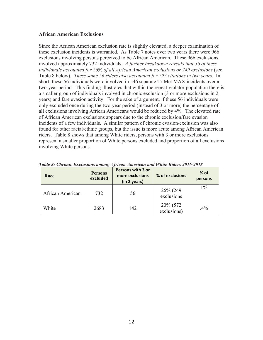#### **African American Exclusions**

Since the African American exclusion rate is slightly elevated, a deeper examination of these exclusion incidents is warranted. As Table 7 notes over two years there were 966 exclusions involving persons perceived to be African American. These 966 exclusions involved approximately 732 individuals. *A further breakdown reveals that 56 of these individuals accounted for 26% of all African American exclusions or 249 exclusions* (see Table 8 below)*. These same 56 riders also accounted for 297 citations in two years.* In short, these 56 individuals were involved in 546 separate TriMet MAX incidents over a two-year period. This finding illustrates that within the repeat violator population there is a smaller group of individuals involved in chronic exclusion (3 or more exclusions in 2 years) and fare evasion activity. For the sake of argument, if these 56 individuals were only excluded once during the two-year period (instead of 3 or more) the percentage of all exclusions involving African Americans would be reduced by 4%. The elevated rate of African American exclusions appears due to the chronic exclusion/fare evasion incidents of a few individuals. A similar pattern of chronic evasion/exclusion was also found for other racial/ethnic groups, but the issue is more acute among African American riders. Table 8 shows that among White riders, persons with 3 or more exclusions represent a smaller proportion of White persons excluded and proportion of all exclusions involving White persons.

| Race             | <b>Persons</b><br>excluded | <b>Persons with 3 or</b><br>more exclusions<br>(in 2 years) | % of exclusions         | $%$ of<br>persons |
|------------------|----------------------------|-------------------------------------------------------------|-------------------------|-------------------|
| African American | 732                        | 56                                                          | 26% (249<br>exclusions  | $1\%$             |
| White            | 2683                       | 142                                                         | 20% (572<br>exclusions) | $.4\%$            |

*Table 8: Chronic Exclusions among African American and White Riders 2016-2018*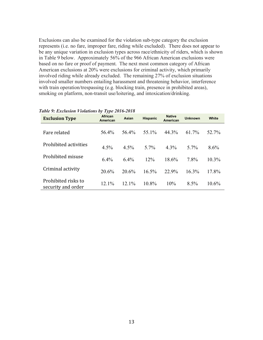Exclusions can also be examined for the violation sub-type category the exclusion represents (i.e. no fare, improper fare, riding while excluded). There does not appear to be any unique variation in exclusion types across race/ethnicity of riders, which is shown in Table 9 below. Approximately 56% of the 966 African American exclusions were based on no fare or proof of payment. The next most common category of African American exclusions at 20% were exclusions for criminal activity, which primarily involved riding while already excluded. The remaining 27% of exclusion situations involved smaller numbers entailing harassment and threatening behavior, interference with train operation/trespassing (e.g. blocking train, presence in prohibited areas), smoking on platform, non-transit use/loitering, and intoxication/drinking.

| <b>Exclusion Type</b>                     | African<br>American | <b>Asian</b> | <b>Hispanic</b> | <b>Native</b><br>American |          | White    |
|-------------------------------------------|---------------------|--------------|-----------------|---------------------------|----------|----------|
| Fare related                              | 56.4%               | 56.4%        | 55.1%           | 44.3%                     | 61.7%    | 52.7%    |
| Prohibited activities                     | 4.5%                | 4.5%         | $5.7\%$         | $4.3\%$                   | 5.7%     | 8.6%     |
| Prohibited misuse                         | 6.4%                | 6.4%         | 12%             | 18.6%                     | 7.8%     | $10.3\%$ |
| Criminal activity                         | 20.6%               | 20.6%        | $16.5\%$        | 22.9%                     | $16.3\%$ | 17.8%    |
| Prohibited risks to<br>security and order | $12.1\%$            | $12.1\%$     | $10.8\%$        | 10%                       | 8.5%     | 10.6%    |

#### *Table 9: Exclusion Violations by Type 2016-2018*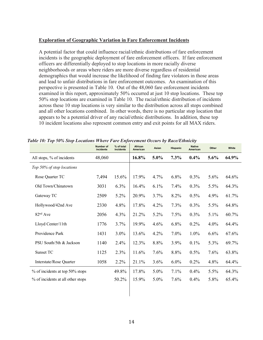# **Exploration of Geographic Variation in Fare Enforcement Incidents**

A potential factor that could influence racial/ethnic distributions of fare enforcement incidents is the geographic deployment of fare enforcement officers. If fare enforcement officers are differentially deployed to stop locations in more racially diverse neighborhoods or areas where riders are more diverse regardless of residential demographics that would increase the likelihood of finding fare violators in those areas and lead to unfair distributions in fare enforcement outcomes. An examination of this perspective is presented in Table 10. Out of the 48,060 fare enforcement incidents examined in this report, approximately 50% occurred at just 10 stop locations. These top 50% stop locations are examined in Table 10. The racial/ethnic distribution of incidents across these 10 stop locations is very similar to the distribution across all stops combined and all other locations combined. In other words, there is no particular stop location that appears to be a potential driver of any racial/ethnic distributions. In addition, these top 10 incident locations also represent common entry and exit points for all MAX riders.

|                                   | Number of<br>incidents | % of total<br>incidents | African<br>American | Asian   | <b>Hispanic</b> | <b>Native</b><br>American | Other   | White |
|-----------------------------------|------------------------|-------------------------|---------------------|---------|-----------------|---------------------------|---------|-------|
| All stops, % of incidents         | 48,060                 |                         | 16.8%               | $5.0\%$ | 7.3%            | $0.4\%$                   | 5.6%    | 64.9% |
| Top 50% of stop locations         |                        |                         |                     |         |                 |                           |         |       |
| Rose Quarter TC                   | 7,494                  | 15.6%                   | 17.9%               | 4.7%    | 6.8%            | 0.3%                      | 5.6%    | 64.6% |
| Old Town/Chinatown                | 3031                   | 6.3%                    | 16.4%               | 6.1%    | 7.4%            | 0.3%                      | 5.5%    | 64.3% |
| Gateway TC                        | 2509                   | 5.2%                    | 20.9%               | 3.7%    | 8.2%            | 0.5%                      | 4.9%    | 61.7% |
| Hollywood/42nd Ave                | 2330                   | 4.8%                    | 17.8%               | 4.2%    | 7.3%            | 0.3%                      | 5.5%    | 64.8% |
| 82 <sup>nd</sup> Ave              | 2056                   | 4.3%                    | 21.2%               | 5.2%    | 7.5%            | $0.3\%$                   | $5.1\%$ | 60.7% |
| Lloyd Center/11th                 | 1776                   | 3.7%                    | 19.9%               | 4.6%    | 6.8%            | 0.2%                      | 4.0%    | 64.4% |
| Providence Park                   | 1431                   | $3.0\%$                 | 13.6%               | 4.2%    | 7.0%            | $1.0\%$                   | $6.6\%$ | 67.6% |
| PSU South/5th & Jackson           | 1140                   | 2.4%                    | 12.3%               | 8.8%    | 3.9%            | 0.1%                      | 5.3%    | 69.7% |
| Sunset TC                         | 1125                   | 2.3%                    | 11.6%               | 7.6%    | 8.8%            | 0.5%                      | 7.6%    | 63.8% |
| Interstate/Rose Quarter           | 1058                   | 2.2%                    | 21.1%               | 3.6%    | $6.0\%$         | 0.2%                      | 4.8%    | 64.4% |
| % of incidents at top 50% stops   |                        | 49.8%                   | 17.8%               | $5.0\%$ | 7.1%            | 0.4%                      | 5.5%    | 64.3% |
| % of incidents at all other stops |                        | 50.2%                   | 15.9%               | $5.0\%$ | 7.6%            | $0.4\%$                   | 5.8%    | 65.4% |

*Table 10: Top 50% Stop Locations Where Fare Enforcement Occurs by Race/Ethnicity*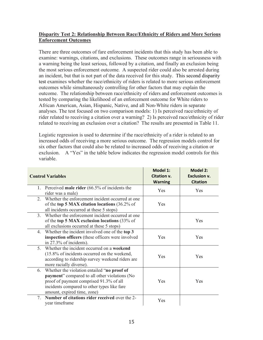# **Disparity Test 2: Relationship Between Race/Ethnicity of Riders and More Serious Enforcement Outcomes**

There are three outcomes of fare enforcement incidents that this study has been able to examine: warnings, citations, and exclusions. These outcomes range in seriousness with a warning being the least serious, followed by a citation, and finally an exclusion being the most serious enforcement outcome. A suspected rider could also be arrested during an incident, but that is not part of the data received for this study. This second disparity test examines whether the race/ethnicity of riders is related to more serious enforcement outcomes while simultaneously controlling for other factors that may explain the outcome. The relationship between race/ethnicity of riders and enforcement outcomes is tested by comparing the likelihood of an enforcement outcome for White riders to African American, Asian, Hispanic, Native, and all Non-White riders in separate analyses. The test focused on two comparison models: 1) Is perceived race/ethnicity of rider related to receiving a citation over a warning? 2) Is perceived race/ethnicity of rider related to receiving an exclusion over a citation? The results are presented in Table 11.

Logistic regression is used to determine if the race/ethnicity of a rider is related to an increased odds of receiving a more serious outcome. The regression models control for six other factors that could also be related to increased odds of receiving a citation or exclusion. A "Yes" in the table below indicates the regression model controls for this variable.

| <b>Control Variables</b>                                                                                                                                                                                                            | <b>Model 1:</b><br>Citation v.<br><b>Warning</b> | <b>Model 2:</b><br><b>Exclusion v.</b><br><b>Citation</b> |
|-------------------------------------------------------------------------------------------------------------------------------------------------------------------------------------------------------------------------------------|--------------------------------------------------|-----------------------------------------------------------|
| 1. Perceived male rider $(66.5\% \text{ of} \text{ incidents}$ the<br>rider was a male)                                                                                                                                             | Yes                                              | Yes                                                       |
| Whether the enforcement incident occurred at one<br>$\overline{2}$<br>of the top 5 MAX citation locations $(36.2\% \text{ of }$<br>all incidents occurred at these 5 stops)                                                         | Yes                                              |                                                           |
| 3 <sub>1</sub><br>Whether the enforcement incident occurred at one<br>of the top 5 MAX exclusion locations (33% of<br>all exclusions occurred at these 5 stops)                                                                     |                                                  | Yes                                                       |
| Whether the incident involved one of the top 3<br>$4_{\cdot}$<br>inspection officers (these officers were involved<br>in 27.3% of incidents).                                                                                       | Yes                                              | <b>Yes</b>                                                |
| Whether the incident occurred on a weekend<br>5 <sup>1</sup><br>(15.8% of incidents occurred on the weekend,<br>according to ridership survey weekend riders are<br>more racially diverse).                                         | Yes                                              | Yes                                                       |
| Whether the violation entailed "no proof of<br>6.<br><b>payment</b> " compared to all other violations (No<br>proof of payment comprised 91.3% of all<br>incidents compared to other types like fare<br>amount, expired time, zone) | Yes                                              | Yes                                                       |
| Number of citations rider received over the 2-<br>7<br>year timeframe                                                                                                                                                               | Yes                                              |                                                           |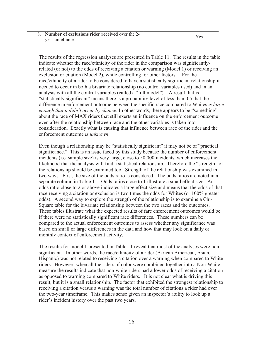8. **Number of exclusions rider received** over the 2-  $\frac{1}{\sqrt{2}}$  year timeframe Yes

The results of the regression analyses are presented in Table 11. The results in the table indicate whether the race/ethnicity of the rider in the comparison was significantlyrelated (or not) to the odds of receiving a citation or warning (Model 1) or receiving an exclusion or citation (Model 2), while controlling for other factors. For the race/ethnicity of a rider to be considered to have a statistically significant relationship it needed to occur in both a bivariate relationship (no control variables used) and in an analysis with all the control variables (called a "full model"). A result that is "statistically significant" means there is a probability level of less than .05 that the difference in enforcement outcome between the specific race compared to Whites *is large enough that it didn't occur by chance*. In other words, there appears to be "something" about the race of MAX riders that still exerts an influence on the enforcement outcome even after the relationship between race and the other variables is taken into consideration. Exactly what is causing that influence between race of the rider and the enforcement outcome *is unknown*.

Even though a relationship may be "statistically significant" it may not be of "practical significance." This is an issue faced by this study because the number of enforcement incidents (i.e. sample size) is very large, close to 50,000 incidents, which increases the likelihood that the analysis will find a statistical relationship. Therefore the "strength" of the relationship should be examined too. Strength of the relationship was examined in two ways. First, the size of the odds ratio is considered. The odds ratios are noted in a separate column in Table 11. Odds ratios close to 1 illustrate a small effect size. An odds ratio close to 2 or above indicates a large effect size and means that the odds of that race receiving a citation or exclusion is two times the odds for Whites (or 100% greater odds). A second way to explore the strength of the relationship is to examine a Chi-Square table for the bivariate relationship between the two races and the outcomes. These tables illustrate what the expected results of fare enforcement outcomes would be if there were no statistically significant race differences. These numbers can be compared to the actual enforcement outcomes to assess whether any significance was based on small or large differences in the data and how that may look on a daily or monthly context of enforcement activity.

The results for model 1 presented in Table 11 reveal that most of the analyses were nonsignificant. In other words, the race/ethnicity of a rider (African American, Asian, Hispanic) was not related to receiving a citation over a warning when compared to White riders. However, when all the riders of color were combined together into a Non-White measure the results indicate that non-white riders had a lower odds of receiving a citation as opposed to warning compared to White riders. It is not clear what is driving this result, but it is a small relationship. The factor that exhibited the strongest relationship to receiving a citation versus a warning was the total number of citations a rider had over the two-year timeframe. This makes sense given an inspector's ability to look up a rider's incident history over the past two years.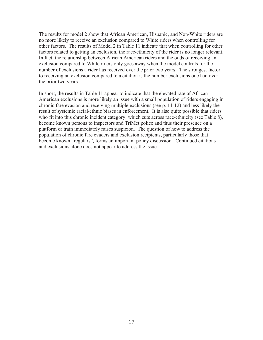The results for model 2 show that African American, Hispanic, and Non-White riders are no more likely to receive an exclusion compared to White riders when controlling for other factors. The results of Model 2 in Table 11 indicate that when controlling for other factors related to getting an exclusion, the race/ethnicity of the rider is no longer relevant. In fact, the relationship between African American riders and the odds of receiving an exclusion compared to White riders only goes away when the model controls for the number of exclusions a rider has received over the prior two years. The strongest factor to receiving an exclusion compared to a citation is the number exclusions one had over the prior two years.

In short, the results in Table 11 appear to indicate that the elevated rate of African American exclusions is more likely an issue with a small population of riders engaging in chronic fare evasion and receiving multiple exclusions (see p. 11-12) and less likely the result of systemic racial/ethnic biases in enforcement. It is also quite possible that riders who fit into this chronic incident category, which cuts across race/ethnicity (see Table 8), become known persons to inspectors and TriMet police and thus their presence on a platform or train immediately raises suspicion. The question of how to address the population of chronic fare evaders and exclusion recipients, particularly those that become known "regulars", forms an important policy discussion. Continued citations and exclusions alone does not appear to address the issue.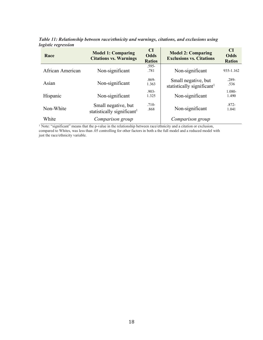| Race             | <b>Model 1: Comparing</b><br><b>Citations vs. Warnings</b>    | CI<br><b>Odds</b><br><b>Ratios</b> | <b>Model 2: Comparing</b><br><b>Exclusions vs. Citations</b>  | <b>CI</b><br><b>Odds</b><br><b>Ratios</b> |
|------------------|---------------------------------------------------------------|------------------------------------|---------------------------------------------------------------|-------------------------------------------|
| African American | Non-significant                                               | $.595-$<br>.781                    | Non-significant                                               | 935-1.162                                 |
| Asian            | Non-significant                                               | $.869 -$<br>1.363                  | Small negative, but<br>statistically significant <sup>1</sup> | $.289 -$<br>.536                          |
| Hispanic         | Non-significant                                               | $.903 -$<br>1.325                  | Non-significant                                               | 1.080-<br>1.490                           |
| Non-White        | Small negative, but<br>statistically significant <sup>1</sup> | $.710-$<br>.868                    | Non-significant                                               | $.872 -$<br>1.041                         |
| White            | Comparison group                                              |                                    | Comparison group                                              |                                           |

*Table 11: Relationship between race/ethnicity and warnings, citations, and exclusions using logistic regression* 

<sup>1</sup> Note: "significant" means that the p-value in the relationship between race/ethnicity and a citation or exclusion, compared to Whites, was less than .05 controlling for other factors in both a the full model and a reduced model with just the race/ethnicity variable.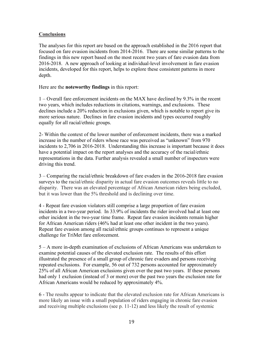# **Conclusions**

The analyses for this report are based on the approach established in the 2016 report that focused on fare evasion incidents from 2014-2016. There are some similar patterns to the findings in this new report based on the most recent two years of fare evasion data from 2016-2018. A new approach of looking at individual-level involvement in fare evasion incidents, developed for this report, helps to explore these consistent patterns in more depth.

Here are the **noteworthy findings** in this report:

1 – Overall fare enforcement incidents on the MAX have declined by 9.3% in the recent two years, which includes reductions in citations, warnings, and exclusions. These declines include a 20% reduction in exclusions given, which is notable to report give its more serious nature. Declines in fare evasion incidents and types occurred roughly equally for all racial/ethnic groups.

2- Within the context of the lower number of enforcement incidents, there was a marked increase in the number of riders whose race was perceived as "unknown" from 970 incidents to 2,706 in 2016-2018. Understanding this increase is important because it does have a potential impact on the report analyses and the accuracy of the racial/ethnic representations in the data. Further analysis revealed a small number of inspectors were driving this trend.

3 – Comparing the racial/ethnic breakdown of fare evaders in the 2016-2018 fare evasion surveys to the racial/ethnic disparity in actual fare evasion outcomes reveals little to no disparity. There was an elevated percentage of African American riders being excluded, but it was lower than the 5% threshold and is declining over time.

4 - Repeat fare evasion violators still comprise a large proportion of fare evasion incidents in a two-year period. In 33.9% of incidents the rider involved had at least one other incident in the two-year time frame. Repeat fare evasion incidents remain higher for African American riders (46% had at least one other incident in the two years). Repeat fare evasion among all racial/ethnic groups continues to represent a unique challenge for TriMet fare enforcement.

5 – A more in-depth examination of exclusions of African Americans was undertaken to examine potential causes of the elevated exclusion rate. The results of this effort illustrated the presence of a small group of chronic fare evaders and persons receiving repeated exclusions. For example, 56 out of 732 persons accounted for approximately 25% of all African American exclusions given over the past two years. If these persons had only 1 exclusion (instead of 3 or more) over the past two years the exclusion rate for African Americans would be reduced by approximately 4%.

6 - The results appear to indicate that the elevated exclusion rate for African Americans is more likely an issue with a small population of riders engaging in chronic fare evasion and receiving multiple exclusions (see p. 11-12) and less likely the result of systemic